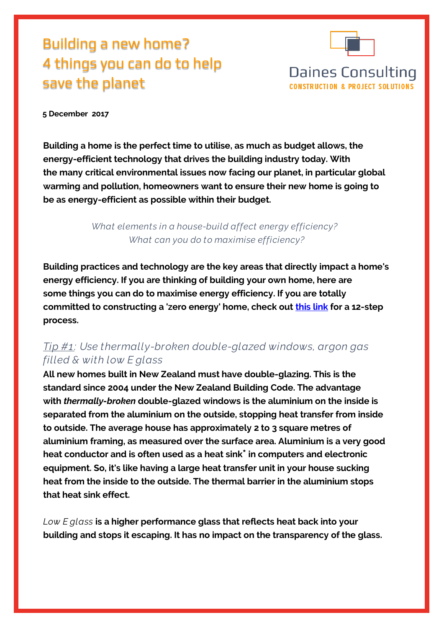# Building a new home? 4 things you can do to help save the planet



#### **5 December 2017**

**Building a home is the perfect time to utilise, as much as budget allows, the energy-efficient technology that drives the building industry today. With the many critical environmental issues now facing our planet, in particular global warming and pollution, homeowners want to ensure their new home is going to be as energy-efficient as possible within their budget.**

> *What elements in a house-build affect energy efficiency? What can you do to maximise efficiency?*

**Building practices and technology are the key areas that directly impact a home's energy efficiency. If you are thinking of building your own home, here are some things you can do to maximise energy efficiency. If you are totally committed to constructing a 'zero energy' home, check out [this](http://zeroenergyproject.org/build/twelve-steps-affordable-zero-energy-home-construction-design/) link for a 12-step process.**

#### *Tip #1 : Use thermally-broken double-glazed windows, argon gas filled & with low E glass*

**All new homes built in New Zealand must have double-glazing. This is the standard since 2004 under the New Zealand Building Code. The advantage with** *thermally-broken* **double-glazed windows is the aluminium on the inside is separated from the aluminium on the outside, stopping heat transfer from inside to outside. The average house has approximately 2 to 3 square metres of aluminium framing, as measured over the surface area. Aluminium is a very good heat conductor and is often used as a heat sink\* in computers and electronic equipment. So, it's like having a large heat transfer unit in your house sucking heat from the inside to the outside. The thermal barrier in the aluminium stops that heat sink effect.** 

*Low E glass* **is a higher performance glass that reflects heat back into your building and stops it escaping. It has no impact on the transparency of the glass.**